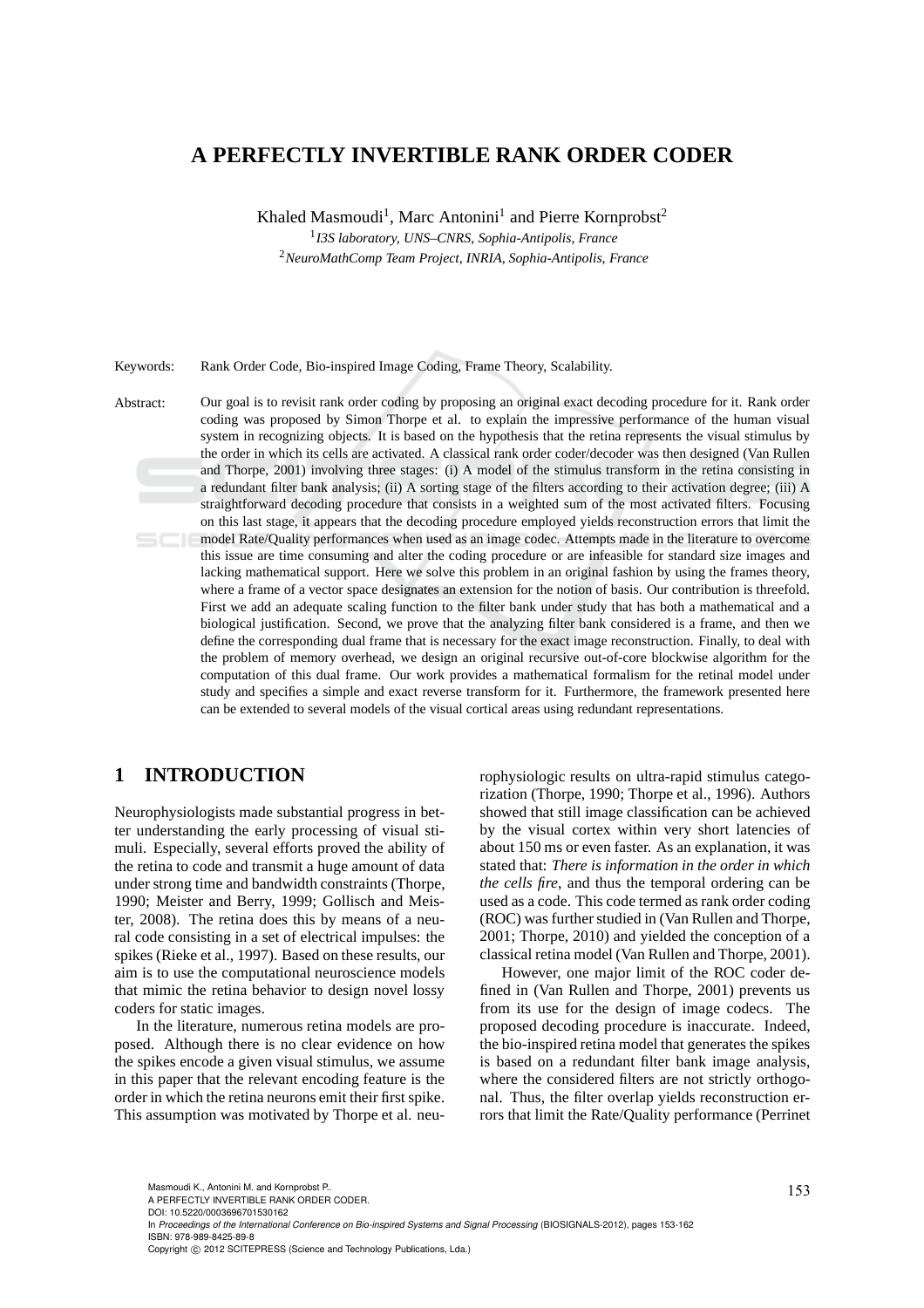# **A PERFECTLY INVERTIBLE RANK ORDER CODER**

Khaled Masmoudi<sup>1</sup>, Marc Antonini<sup>1</sup> and Pierre Kornprobst<sup>2</sup>

1 *I3S laboratory, UNS–CNRS, Sophia-Antipolis, France*

<sup>2</sup>*NeuroMathComp Team Project, INRIA, Sophia-Antipolis, France*

Keywords: Rank Order Code, Bio-inspired Image Coding, Frame Theory, Scalability.

Abstract: Our goal is to revisit rank order coding by proposing an original exact decoding procedure for it. Rank order coding was proposed by Simon Thorpe et al. to explain the impressive performance of the human visual system in recognizing objects. It is based on the hypothesis that the retina represents the visual stimulus by the order in which its cells are activated. A classical rank order coder/decoder was then designed (Van Rullen and Thorpe, 2001) involving three stages: (i) A model of the stimulus transform in the retina consisting in a redundant filter bank analysis; (ii) A sorting stage of the filters according to their activation degree; (iii) A straightforward decoding procedure that consists in a weighted sum of the most activated filters. Focusing on this last stage, it appears that the decoding procedure employed yields reconstruction errors that limit the model Rate/Quality performances when used as an image codec. Attempts made in the literature to overcome this issue are time consuming and alter the coding procedure or are infeasible for standard size images and lacking mathematical support. Here we solve this problem in an original fashion by using the frames theory, where a frame of a vector space designates an extension for the notion of basis. Our contribution is threefold. First we add an adequate scaling function to the filter bank under study that has both a mathematical and a biological justification. Second, we prove that the analyzing filter bank considered is a frame, and then we define the corresponding dual frame that is necessary for the exact image reconstruction. Finally, to deal with the problem of memory overhead, we design an original recursive out-of-core blockwise algorithm for the computation of this dual frame. Our work provides a mathematical formalism for the retinal model under study and specifies a simple and exact reverse transform for it. Furthermore, the framework presented here can be extended to several models of the visual cortical areas using redundant representations.

# **1 INTRODUCTION**

Neurophysiologists made substantial progress in better understanding the early processing of visual stimuli. Especially, several efforts proved the ability of the retina to code and transmit a huge amount of data under strong time and bandwidth constraints (Thorpe, 1990; Meister and Berry, 1999; Gollisch and Meister, 2008). The retina does this by means of a neural code consisting in a set of electrical impulses: the spikes (Rieke et al., 1997). Based on these results, our aim is to use the computational neuroscience models that mimic the retina behavior to design novel lossy coders for static images.

In the literature, numerous retina models are proposed. Although there is no clear evidence on how the spikes encode a given visual stimulus, we assume in this paper that the relevant encoding feature is the order in which the retina neurons emit their first spike. This assumption was motivated by Thorpe et al. neurophysiologic results on ultra-rapid stimulus categorization (Thorpe, 1990; Thorpe et al., 1996). Authors showed that still image classification can be achieved by the visual cortex within very short latencies of about 150 ms or even faster. As an explanation, it was stated that: *There is information in the order in which the cells fire*, and thus the temporal ordering can be used as a code. This code termed as rank order coding (ROC) was further studied in (Van Rullen and Thorpe, 2001; Thorpe, 2010) and yielded the conception of a classical retina model (Van Rullen and Thorpe, 2001).

However, one major limit of the ROC coder defined in (Van Rullen and Thorpe, 2001) prevents us from its use for the design of image codecs. The proposed decoding procedure is inaccurate. Indeed, the bio-inspired retina model that generates the spikes is based on a redundant filter bank image analysis, where the considered filters are not strictly orthogonal. Thus, the filter overlap yields reconstruction errors that limit the Rate/Quality performance (Perrinet

DOI: 10.5220/0003696701530162

In *Proceedings of the International Conference on Bio-inspired Systems and Signal Processing* (BIOSIGNALS-2012), pages 153-162 ISBN: 978-989-8425-89-8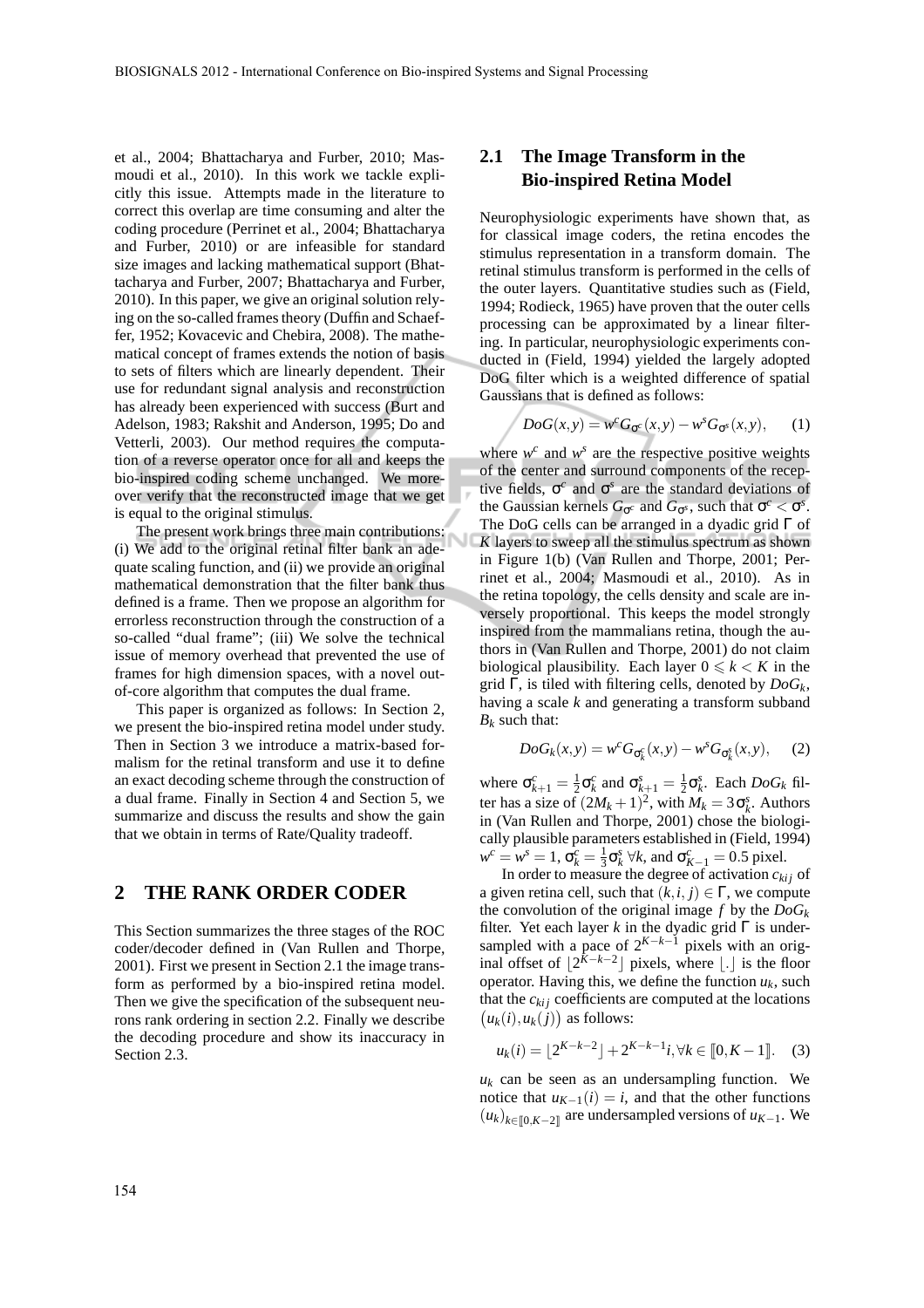et al., 2004; Bhattacharya and Furber, 2010; Masmoudi et al., 2010). In this work we tackle explicitly this issue. Attempts made in the literature to correct this overlap are time consuming and alter the coding procedure (Perrinet et al., 2004; Bhattacharya and Furber, 2010) or are infeasible for standard size images and lacking mathematical support (Bhattacharya and Furber, 2007; Bhattacharya and Furber, 2010). In this paper, we give an original solution relying on the so-called frames theory (Duffin and Schaeffer, 1952; Kovacevic and Chebira, 2008). The mathematical concept of frames extends the notion of basis to sets of filters which are linearly dependent. Their use for redundant signal analysis and reconstruction has already been experienced with success (Burt and Adelson, 1983; Rakshit and Anderson, 1995; Do and Vetterli, 2003). Our method requires the computation of a reverse operator once for all and keeps the bio-inspired coding scheme unchanged. We moreover verify that the reconstructed image that we get is equal to the original stimulus.

The present work brings three main contributions: (i) We add to the original retinal filter bank an adequate scaling function, and (ii) we provide an original mathematical demonstration that the filter bank thus defined is a frame. Then we propose an algorithm for errorless reconstruction through the construction of a so-called "dual frame"; (iii) We solve the technical issue of memory overhead that prevented the use of frames for high dimension spaces, with a novel outof-core algorithm that computes the dual frame.

This paper is organized as follows: In Section 2, we present the bio-inspired retina model under study. Then in Section 3 we introduce a matrix-based formalism for the retinal transform and use it to define an exact decoding scheme through the construction of a dual frame. Finally in Section 4 and Section 5, we summarize and discuss the results and show the gain that we obtain in terms of Rate/Quality tradeoff.

### **2 THE RANK ORDER CODER**

This Section summarizes the three stages of the ROC coder/decoder defined in (Van Rullen and Thorpe, 2001). First we present in Section 2.1 the image transform as performed by a bio-inspired retina model. Then we give the specification of the subsequent neurons rank ordering in section 2.2. Finally we describe the decoding procedure and show its inaccuracy in Section 2.3.

## **2.1 The Image Transform in the Bio-inspired Retina Model**

Neurophysiologic experiments have shown that, as for classical image coders, the retina encodes the stimulus representation in a transform domain. The retinal stimulus transform is performed in the cells of the outer layers. Quantitative studies such as (Field, 1994; Rodieck, 1965) have proven that the outer cells processing can be approximated by a linear filtering. In particular, neurophysiologic experiments conducted in (Field, 1994) yielded the largely adopted DoG filter which is a weighted difference of spatial Gaussians that is defined as follows:

$$
DoG(x, y) = w^{c}G_{\sigma^{c}}(x, y) - w^{s}G_{\sigma^{s}}(x, y), \qquad (1)
$$

where  $w^c$  and  $w^s$  are the respective positive weights of the center and surround components of the receptive fields,  $\sigma^c$  and  $\sigma^s$  are the standard deviations of the Gaussian kernels  $G_{\sigma^c}$  and  $G_{\sigma^s}$ , such that  $\sigma^c < \sigma^s$ . The DoG cells can be arranged in a dyadic grid Γ of *K* layers to sweep all the stimulus spectrum as shown in Figure 1(b) (Van Rullen and Thorpe, 2001; Perrinet et al., 2004; Masmoudi et al., 2010). As in the retina topology, the cells density and scale are inversely proportional. This keeps the model strongly inspired from the mammalians retina, though the authors in (Van Rullen and Thorpe, 2001) do not claim biological plausibility. Each layer  $0 \le k < K$  in the grid Γ, is tiled with filtering cells, denoted by *DoGk*, having a scale *k* and generating a transform subband  $B_k$  such that:

$$
DoG_k(x, y) = w^c G_{\sigma_k^c}(x, y) - w^s G_{\sigma_k^s}(x, y), \quad (2)
$$

where  $\sigma_{k+1}^c = \frac{1}{2} \sigma_k^c$  and  $\sigma_{k+1}^s = \frac{1}{2} \sigma_k^s$ . Each  $DoG_k$  filter has a size of  $(2M_k + 1)^2$ , with  $M_k = 3\sigma_k^s$ . Authors in (Van Rullen and Thorpe, 2001) chose the biologically plausible parameters established in (Field, 1994)  $w^c = w^s = 1$ ,  $\sigma_k^c = \frac{1}{3} \sigma_k^s$   $\forall k$ , and  $\sigma_{K-1}^c = 0.5$  pixel.

In order to measure the degree of activation  $c_{kij}$  of a given retina cell, such that  $(k, i, j) \in \Gamma$ , we compute the convolution of the original image  $f$  by the  $DoG_k$ filter. Yet each layer *k* in the dyadic grid  $\Gamma$  is undersampled with a pace of  $2^{K-k-1}$  pixels with an original offset of  $\lfloor 2^{K-k-2} \rfloor$  pixels, where  $\lfloor . \rfloor$  is the floor operator. Having this, we define the function  $u_k$ , such that the  $c_{kij}$  coefficients are computed at the locations  $(u_k(i), u_k(j))$  as follows:

$$
u_k(i) = \lfloor 2^{K-k-2} \rfloor + 2^{K-k-1}i, \forall k \in [0, K-1]. \quad (3)
$$

 $u_k$  can be seen as an undersampling function. We notice that  $u_{K-1}(i) = i$ , and that the other functions  $(u_k)_{k \in [0, K-2]}$  are undersampled versions of *u*<sub>*K*−1</sub>. We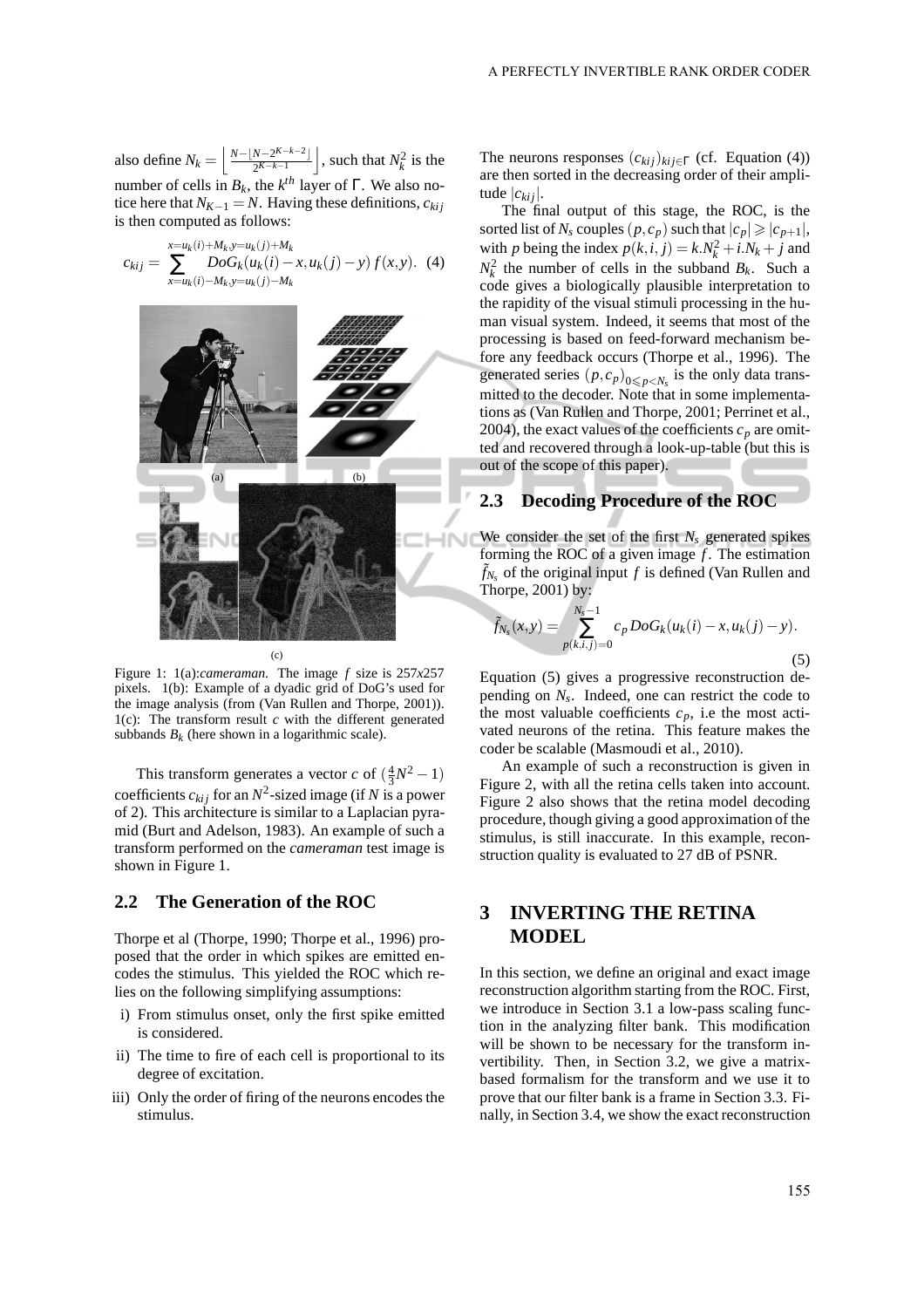also define  $N_k = \left( \frac{N - \lfloor N - 2^{K-k-2} \rfloor}{2^{K-k-1}} \right)$  $\left[\frac{N-2^{K-k-2}}{2^{K-k-1}}\right]$ , such that  $N_k^2$  is the number of cells in  $B_k$ , the  $k^{th}$  layer of  $\Gamma$ . We also notice here that  $N_{K-1} = N$ . Having these definitions,  $c_{kij}$ is then computed as follows:

$$
c_{kij} = \sum_{x=u_k(i)+M_k, y=u_k(j)+M_k}^{x=u_k(i)+M_k, y=u_k(j)+M_k} DoG_k(u_k(i)-x, u_k(j)-y) f(x, y). \tag{4}
$$



Figure 1: 1(a):*cameraman*. The image *f* size is 257*x*257 pixels. 1(b): Example of a dyadic grid of DoG's used for the image analysis (from (Van Rullen and Thorpe, 2001)). 1(c): The transform result *c* with the different generated subbands  $B_k$  (here shown in a logarithmic scale).

This transform generates a vector *c* of  $(\frac{4}{3}N^2 - 1)$ coefficients  $c_{kij}$  for an  $N^2$ -sized image (if N is a power of 2). This architecture is similar to a Laplacian pyramid (Burt and Adelson, 1983). An example of such a transform performed on the *cameraman* test image is shown in Figure 1.

#### **2.2 The Generation of the ROC**

Thorpe et al (Thorpe, 1990; Thorpe et al., 1996) proposed that the order in which spikes are emitted encodes the stimulus. This yielded the ROC which relies on the following simplifying assumptions:

- i) From stimulus onset, only the first spike emitted is considered.
- ii) The time to fire of each cell is proportional to its degree of excitation.
- iii) Only the order of firing of the neurons encodes the stimulus.

The neurons responses  $(c_{kij})_{kij ∈ Γ}$  (cf. Equation (4)) are then sorted in the decreasing order of their amplitude |*cki j*|.

The final output of this stage, the ROC, is the sorted list of *N<sub>s</sub>* couples  $(p, c_p)$  such that  $|c_p| \geq |c_{p+1}|$ , with *p* being the index  $p(k, i, j) = k.N_k^2 + i.N_k + j$  and  $N_k^2$  the number of cells in the subband  $B_k$ . Such a code gives a biologically plausible interpretation to the rapidity of the visual stimuli processing in the human visual system. Indeed, it seems that most of the processing is based on feed-forward mechanism before any feedback occurs (Thorpe et al., 1996). The generated series  $(p, c_p)_{0 \leq p < N_s}$  is the only data transmitted to the decoder. Note that in some implementations as (Van Rullen and Thorpe, 2001; Perrinet et al., 2004), the exact values of the coefficients  $c_p$  are omitted and recovered through a look-up-table (but this is out of the scope of this paper).

### **2.3 Decoding Procedure of the ROC**

We consider the set of the first  $N_s$  generated spikes forming the ROC of a given image  $f$ . The estimation  $\tilde{f}_{N_s}$  of the original input  $f$  is defined (Van Rullen and Thorpe, 2001) by:

$$
\tilde{f}_{N_s}(x, y) = \sum_{p(k,i,j)=0}^{N_s - 1} c_p DoG_k(u_k(i) - x, u_k(j) - y).
$$
\n(5)

Equation (5) gives a progressive reconstruction depending on *N<sup>s</sup>* . Indeed, one can restrict the code to the most valuable coefficients  $c_p$ , i.e the most activated neurons of the retina. This feature makes the coder be scalable (Masmoudi et al., 2010).

An example of such a reconstruction is given in Figure 2, with all the retina cells taken into account. Figure 2 also shows that the retina model decoding procedure, though giving a good approximation of the stimulus, is still inaccurate. In this example, reconstruction quality is evaluated to 27 dB of PSNR.

# **3 INVERTING THE RETINA MODEL**

In this section, we define an original and exact image reconstruction algorithm starting from the ROC. First, we introduce in Section 3.1 a low-pass scaling function in the analyzing filter bank. This modification will be shown to be necessary for the transform invertibility. Then, in Section 3.2, we give a matrixbased formalism for the transform and we use it to prove that our filter bank is a frame in Section 3.3. Finally, in Section 3.4, we show the exact reconstruction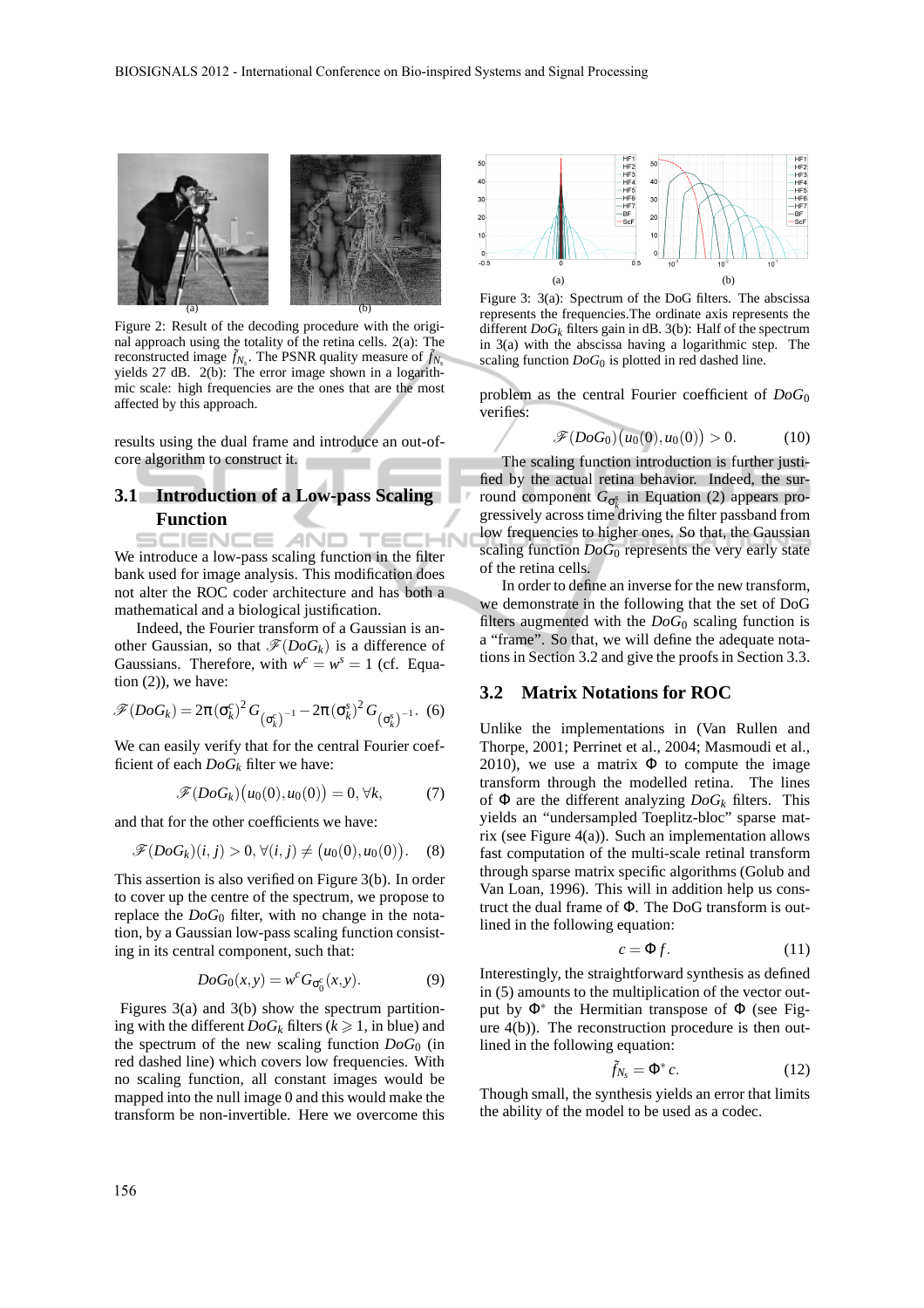

Figure 2: Result of the decoding procedure with the original approach using the totality of the retina cells. 2(a): The reconstructed image  $\tilde{f}_{N_s}$ . The PSNR quality measure of  $\tilde{f}_{N_s}$ yields 27 dB. 2(b): The error image shown in a logarithmic scale: high frequencies are the ones that are the most affected by this approach.

results using the dual frame and introduce an out-ofcore algorithm to construct it.

## **3.1 Introduction of a Low-pass Scaling Function**

**CHN** SCIENCE *A*ND TEC We introduce a low-pass scaling function in the filter bank used for image analysis. This modification does not alter the ROC coder architecture and has both a mathematical and a biological justification.

Indeed, the Fourier transform of a Gaussian is another Gaussian, so that  $\mathscr{F}(DoG_k)$  is a difference of Gaussians. Therefore, with  $w^c = w^s = 1$  (cf. Equation  $(2)$ ), we have:

$$
\mathscr{F}(DoG_k) = 2\pi (\sigma_k^c)^2 G_{(\sigma_k^c)^{-1}} - 2\pi (\sigma_k^s)^2 G_{(\sigma_k^s)^{-1}}.
$$
 (6)

We can easily verify that for the central Fourier coefficient of each *DoG<sup>k</sup>* filter we have:

$$
\mathscr{F}(DoG_k)\big(u_0(0),u_0(0)\big) = 0, \forall k,\tag{7}
$$

and that for the other coefficients we have:

$$
\mathscr{F}(DoG_k)(i,j) > 0, \forall (i,j) \neq (u_0(0), u_0(0)). \quad (8)
$$

This assertion is also verified on Figure 3(b). In order to cover up the centre of the spectrum, we propose to replace the  $DoG_0$  filter, with no change in the notation, by a Gaussian low-pass scaling function consisting in its central component, such that:

$$
DoG_0(x,y) = w^c G_{\sigma_0^c}(x,y). \tag{9}
$$

Figures 3(a) and 3(b) show the spectrum partitioning with the different  $DoG_k$  filters ( $k \ge 1$ , in blue) and the spectrum of the new scaling function *DoG*<sup>0</sup> (in red dashed line) which covers low frequencies. With no scaling function, all constant images would be mapped into the null image 0 and this would make the transform be non-invertible. Here we overcome this



Figure 3: 3(a): Spectrum of the DoG filters. The abscissa represents the frequencies.The ordinate axis represents the different *DoG<sup>k</sup>* filters gain in dB. 3(b): Half of the spectrum in 3(a) with the abscissa having a logarithmic step. The scaling function *DoG*<sup>0</sup> is plotted in red dashed line.

problem as the central Fourier coefficient of *DoG*<sup>0</sup> verifies:

$$
\mathscr{F}(DoG_0)\big(u_0(0),u_0(0)\big) > 0. \tag{10}
$$

The scaling function introduction is further justified by the actual retina behavior. Indeed, the surround component *G*<sup>σ</sup> *s k* in Equation (2) appears progressively across time driving the filter passband from low frequencies to higher ones. So that, the Gaussian scaling function *DoG*<sup>0</sup> represents the very early state of the retina cells.

In order to define an inverse for the new transform, we demonstrate in the following that the set of DoG filters augmented with the  $DoG_0$  scaling function is a "frame". So that, we will define the adequate notations in Section 3.2 and give the proofs in Section 3.3.

#### **3.2 Matrix Notations for ROC**

Unlike the implementations in (Van Rullen and Thorpe, 2001; Perrinet et al., 2004; Masmoudi et al., 2010), we use a matrix  $\Phi$  to compute the image transform through the modelled retina. The lines of Φ are the different analyzing *DoG<sup>k</sup>* filters. This yields an "undersampled Toeplitz-bloc" sparse matrix (see Figure 4(a)). Such an implementation allows fast computation of the multi-scale retinal transform through sparse matrix specific algorithms (Golub and Van Loan, 1996). This will in addition help us construct the dual frame of Φ. The DoG transform is outlined in the following equation:

$$
c = \Phi f. \tag{11}
$$

Interestingly, the straightforward synthesis as defined in (5) amounts to the multiplication of the vector output by Φ<sup>∗</sup> the Hermitian transpose of Φ (see Figure 4(b)). The reconstruction procedure is then outlined in the following equation:

$$
\tilde{f}_{N_s} = \Phi^* c. \tag{12}
$$

Though small, the synthesis yields an error that limits the ability of the model to be used as a codec.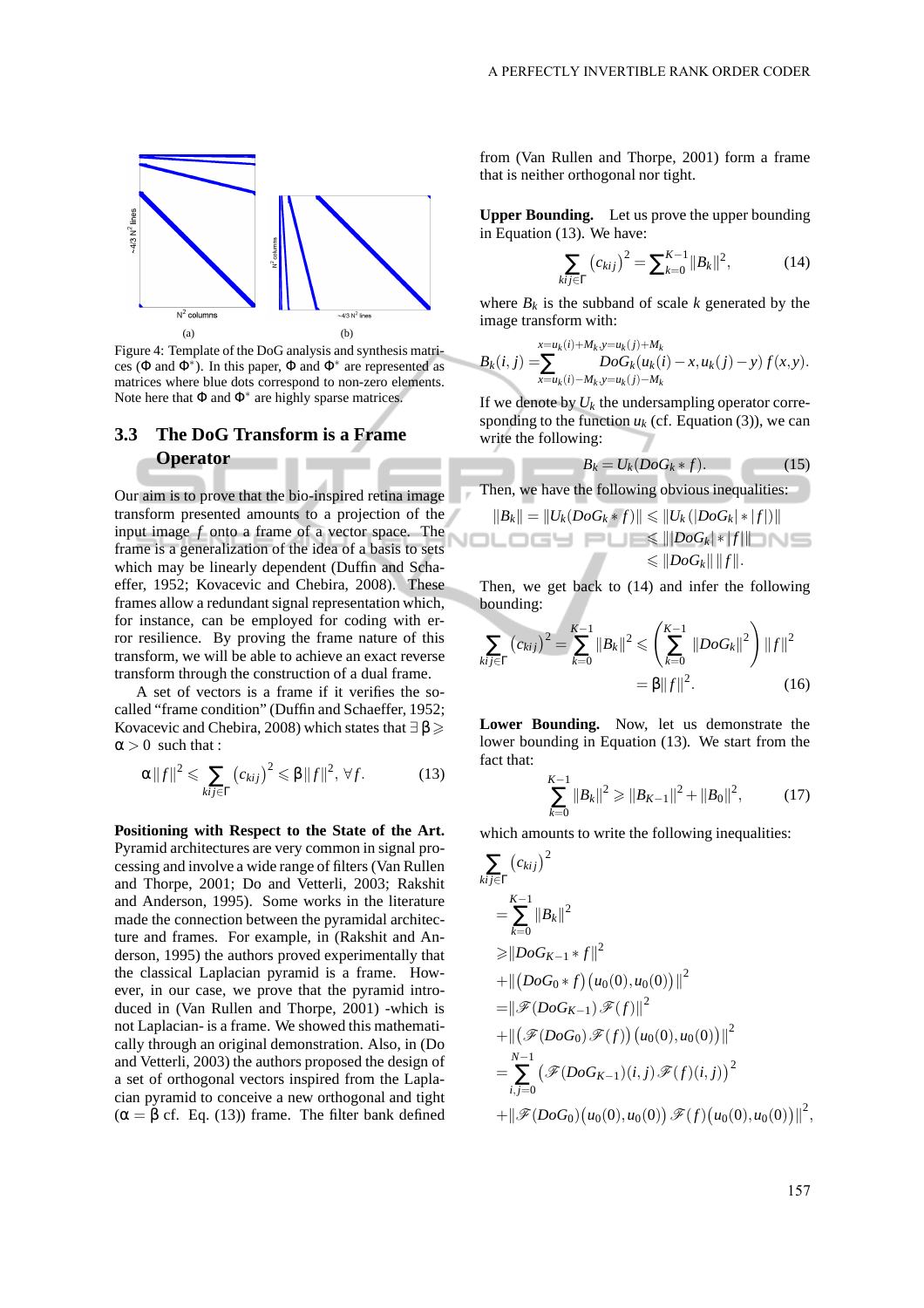

Figure 4: Template of the DoG analysis and synthesis matrices ( $\Phi$  and  $\Phi^*$ ). In this paper,  $\Phi$  and  $\Phi^*$  are represented as matrices where blue dots correspond to non-zero elements. Note here that  $\Phi$  and  $\Phi^*$  are highly sparse matrices.

## **3.3 The DoG Transform is a Frame Operator**

Our aim is to prove that the bio-inspired retina image transform presented amounts to a projection of the input image *f* onto a frame of a vector space. The frame is a generalization of the idea of a basis to sets which may be linearly dependent (Duffin and Schaeffer, 1952; Kovacevic and Chebira, 2008). These frames allow a redundant signal representation which, for instance, can be employed for coding with error resilience. By proving the frame nature of this transform, we will be able to achieve an exact reverse transform through the construction of a dual frame.

A set of vectors is a frame if it verifies the socalled "frame condition" (Duffin and Schaeffer, 1952; Kovacevic and Chebira, 2008) which states that  $\exists \beta \geqslant$  $\alpha > 0$  such that :

$$
\alpha \|f\|^2 \leqslant \sum_{kij \in \Gamma} \left(c_{kij}\right)^2 \leqslant \beta \|f\|^2, \,\forall f. \tag{13}
$$

**Positioning with Respect to the State of the Art.** Pyramid architectures are very common in signal processing and involve a wide range of filters (Van Rullen and Thorpe, 2001; Do and Vetterli, 2003; Rakshit and Anderson, 1995). Some works in the literature made the connection between the pyramidal architecture and frames. For example, in (Rakshit and Anderson, 1995) the authors proved experimentally that the classical Laplacian pyramid is a frame. However, in our case, we prove that the pyramid introduced in (Van Rullen and Thorpe, 2001) -which is not Laplacian- is a frame. We showed this mathematically through an original demonstration. Also, in (Do and Vetterli, 2003) the authors proposed the design of a set of orthogonal vectors inspired from the Laplacian pyramid to conceive a new orthogonal and tight  $(\alpha = \beta \text{ cf. Eq. (13)})$  frame. The filter bank defined from (Van Rullen and Thorpe, 2001) form a frame that is neither orthogonal nor tight.

**Upper Bounding.** Let us prove the upper bounding in Equation (13). We have:

$$
\sum_{kij \in \Gamma} (c_{kij})^2 = \sum_{k=0}^{K-1} ||B_k||^2, \tag{14}
$$

where  $B_k$  is the subband of scale  $k$  generated by the image transform with:

$$
B_k(i,j) = \sum_{x=u_k(i)-M_k, y=u_k(j)-M_k}^{x=u_k(i)+M_k, y=u_k(j)+M_k} DoG_k(u_k(i)-x, u_k(j)-y) f(x,y).
$$

If we denote by  $U_k$  the undersampling operator corresponding to the function  $u_k$  (cf. Equation (3)), we can write the following:

$$
B_k = U_k (DoG_k * f). \tag{15}
$$

Then, we have the following obvious inequalities:

$$
||B_k|| = ||U_k(DoG_k*f)|| \le ||U_k(|DoG_k]*|f||||
$$
  

$$
\le ||DoG_k]*|f||
$$
  

$$
\le ||DoG_k|| ||f||.
$$

Then, we get back to (14) and infer the following bounding:

$$
\sum_{kij \in \Gamma} (c_{kij})^2 = \sum_{k=0}^{K-1} ||B_k||^2 \leqslant \left(\sum_{k=0}^{K-1} ||DoG_k||^2\right) ||f||^2
$$
  
=  $\beta ||f||^2$ . (16)

**Lower Bounding.** Now, let us demonstrate the lower bounding in Equation (13). We start from the fact that:

$$
\sum_{k=0}^{K-1} \|B_k\|^2 \ge \|B_{K-1}\|^2 + \|B_0\|^2, \tag{17}
$$

which amounts to write the following inequalities:

$$
\sum_{kij \in \Gamma} (c_{kij})^2
$$
\n
$$
= \sum_{k=0}^{K-1} ||B_k||^2
$$
\n
$$
\geq ||DoG_{K-1} * f||^2
$$
\n
$$
+ ||(DoG_0 * f) (u_0(0), u_0(0))||^2
$$
\n
$$
= ||\mathcal{F}(DoG_{K-1}) \mathcal{F}(f)||^2
$$
\n
$$
+ ||(\mathcal{F}(DoG_0) \mathcal{F}(f)) (u_0(0), u_0(0))||^2
$$
\n
$$
= \sum_{i,j=0}^{N-1} (\mathcal{F}(DoG_{K-1})(i,j) \mathcal{F}(f)(i,j))^2
$$
\n
$$
+ ||\mathcal{F}(DoG_0) (u_0(0), u_0(0)) \mathcal{F}(f) (u_0(0), u_0(0))||^2,
$$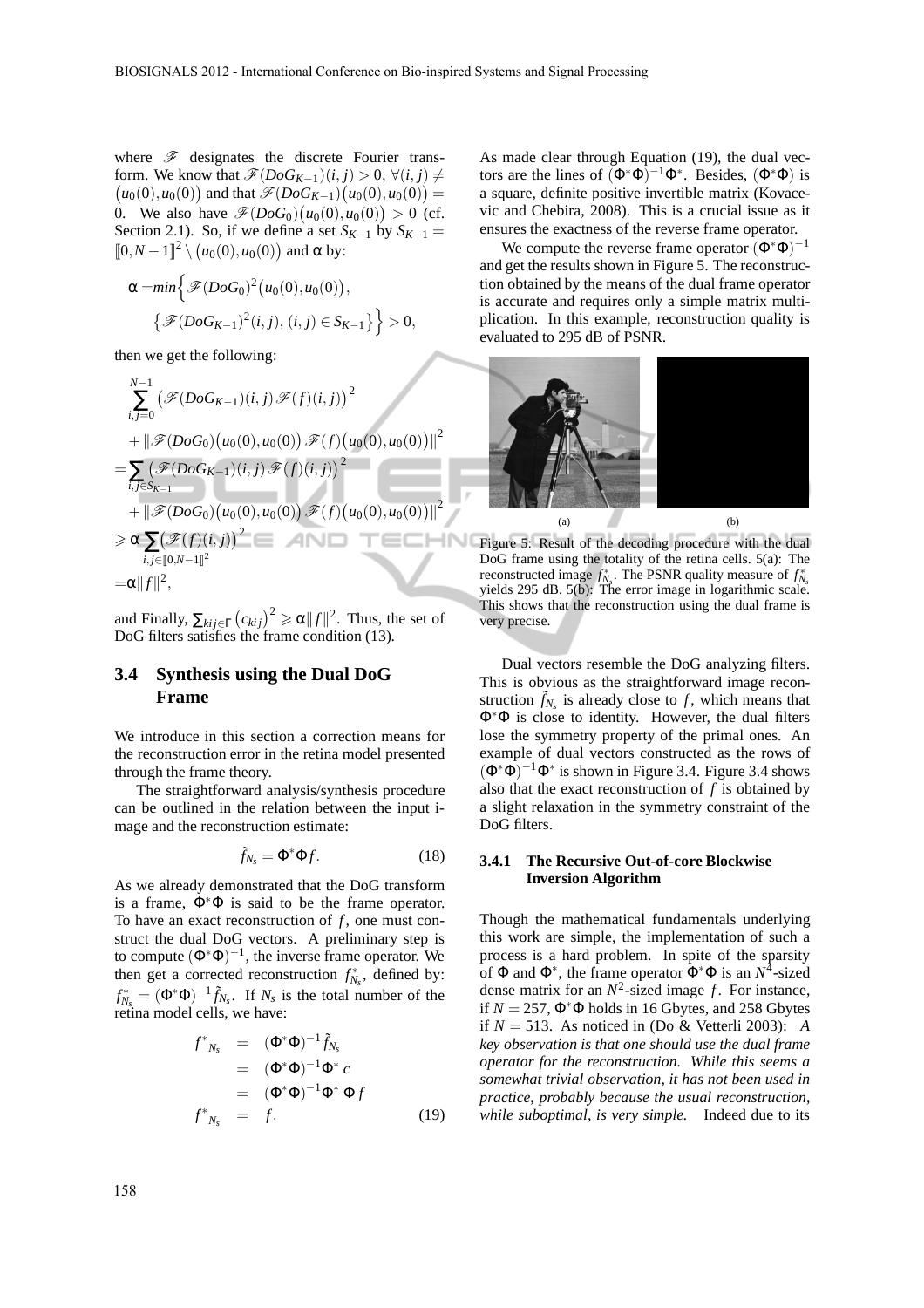where  $\mathscr F$  designates the discrete Fourier trans- $(u_0(0), u_0(0))$  and that  $\mathscr{F}(DoG_{K-1})(u_0(0), u_0(0)) =$ form. We know that  $\mathscr{F}(DoG_{K-1})(i, j) > 0$ ,  $\forall (i, j) \neq$ 0. We also have  $\mathscr{F}(DoG_0)(u_0(0), u_0(0)) > 0$  (cf. Section 2.1). So, if we define a set  $S_{K-1}$  by  $S_{K-1}$  $\llbracket 0, N-1 \rrbracket^2 \setminus (u_0(0), u_0(0))$  and  $\alpha$  by:

$$
\alpha = min\left\{\mathcal{F}(DoG_0)^2(u_0(0), u_0(0)),\right.\newline\left\{\mathcal{F}(DoG_{K-1})^2(i,j), (i,j) \in S_{K-1}\right\}\right\} > 0,
$$

then we get the following:

$$
\sum_{i,j=0}^{N-1} (\mathscr{F}(DoG_{K-1})(i,j) \mathscr{F}(f)(i,j))^{2}
$$
  
+  $||\mathscr{F}(DoG_{0})(u_{0}(0), u_{0}(0)) \mathscr{F}(f)(u_{0}(0), u_{0}(0))||^{2}$   
=  $\sum_{i,j \in S_{K-1}} (\mathscr{F}(DoG_{K-1})(i,j) \mathscr{F}(f)(i,j))^{2}$   
+  $||\mathscr{F}(DoG_{0})(u_{0}(0), u_{0}(0)) \mathscr{F}(f)(u_{0}(0), u_{0}(0))||^{2}$   
 $\geq \alpha \sum_{i,j \in [0,N-1]^{2}} (\mathscr{F}(f)(i,j))^{2}$   
=  $\alpha ||f||^{2}$ ,

and Finally,  $\sum_{kij \in \Gamma} (c_{kij})^2 \ge \alpha ||f||^2$ . Thus, the set of DoG filters satisfies the frame condition (13).

## **3.4 Synthesis using the Dual DoG Frame**

We introduce in this section a correction means for the reconstruction error in the retina model presented through the frame theory.

The straightforward analysis/synthesis procedure can be outlined in the relation between the input image and the reconstruction estimate:

$$
\tilde{f}_{N_s} = \Phi^* \Phi f. \tag{18}
$$

As we already demonstrated that the DoG transform is a frame,  $\Phi^*\Phi$  is said to be the frame operator. To have an exact reconstruction of  $f$ , one must construct the dual DoG vectors. A preliminary step is to compute  $(\Phi^*\Phi)^{-1}$ , the inverse frame operator. We then get a corrected reconstruction  $f_{N_s}^*$ , defined by:  $f_{N_s}^* = (\Phi^* \Phi)^{-1} \tilde{f}_{N_s}$ . If  $N_s$  is the total number of the retina model cells, we have:

$$
f^*_{N_s} = (\Phi^* \Phi)^{-1} \tilde{f}_{N_s}
$$
  
\n
$$
= (\Phi^* \Phi)^{-1} \Phi^* c
$$
  
\n
$$
= (\Phi^* \Phi)^{-1} \Phi^* \Phi f
$$
  
\n
$$
f^*_{N_s} = f.
$$
 (19)

As made clear through Equation (19), the dual vectors are the lines of  $(\Phi^*\Phi)^{-1}\Phi^*$ . Besides,  $(\Phi^*\Phi)$  is a square, definite positive invertible matrix (Kovacevic and Chebira, 2008). This is a crucial issue as it ensures the exactness of the reverse frame operator.

We compute the reverse frame operator  $(\Phi^*\Phi)^{-1}$ and get the results shown in Figure 5. The reconstruction obtained by the means of the dual frame operator is accurate and requires only a simple matrix multiplication. In this example, reconstruction quality is evaluated to 295 dB of PSNR.



Figure 5: Result of the decoding procedure with the dual DoG frame using the totality of the retina cells. 5(a): The reconstructed image  $f_{N_s}^*$ . The PSNR quality measure of  $f_{N_s}^*$  yields 295 dB. 5(b): The error image in logarithmic scale. This shows that the reconstruction using the dual frame is very precise.

Dual vectors resemble the DoG analyzing filters. This is obvious as the straightforward image reconstruction  $\tilde{f}_{N_s}$  is already close to  $f$ , which means that Φ∗Φ is close to identity. However, the dual filters lose the symmetry property of the primal ones. An example of dual vectors constructed as the rows of  $(\Phi^*\Phi)^{-1}\Phi^*$  is shown in Figure 3.4. Figure 3.4 shows also that the exact reconstruction of  $f$  is obtained by a slight relaxation in the symmetry constraint of the DoG filters.

#### **3.4.1 The Recursive Out-of-core Blockwise Inversion Algorithm**

Though the mathematical fundamentals underlying this work are simple, the implementation of such a process is a hard problem. In spite of the sparsity of  $\Phi$  and  $\Phi^*$ , the frame operator  $\Phi^*\Phi$  is an  $N^4$ -sized dense matrix for an  $N^2$ -sized image f. For instance, if  $N = 257$ ,  $\Phi^* \Phi$  holds in 16 Gbytes, and 258 Gbytes if *N* = 513. As noticed in (Do & Vetterli 2003): *A key observation is that one should use the dual frame operator for the reconstruction. While this seems a somewhat trivial observation, it has not been used in practice, probably because the usual reconstruction, while suboptimal, is very simple.* Indeed due to its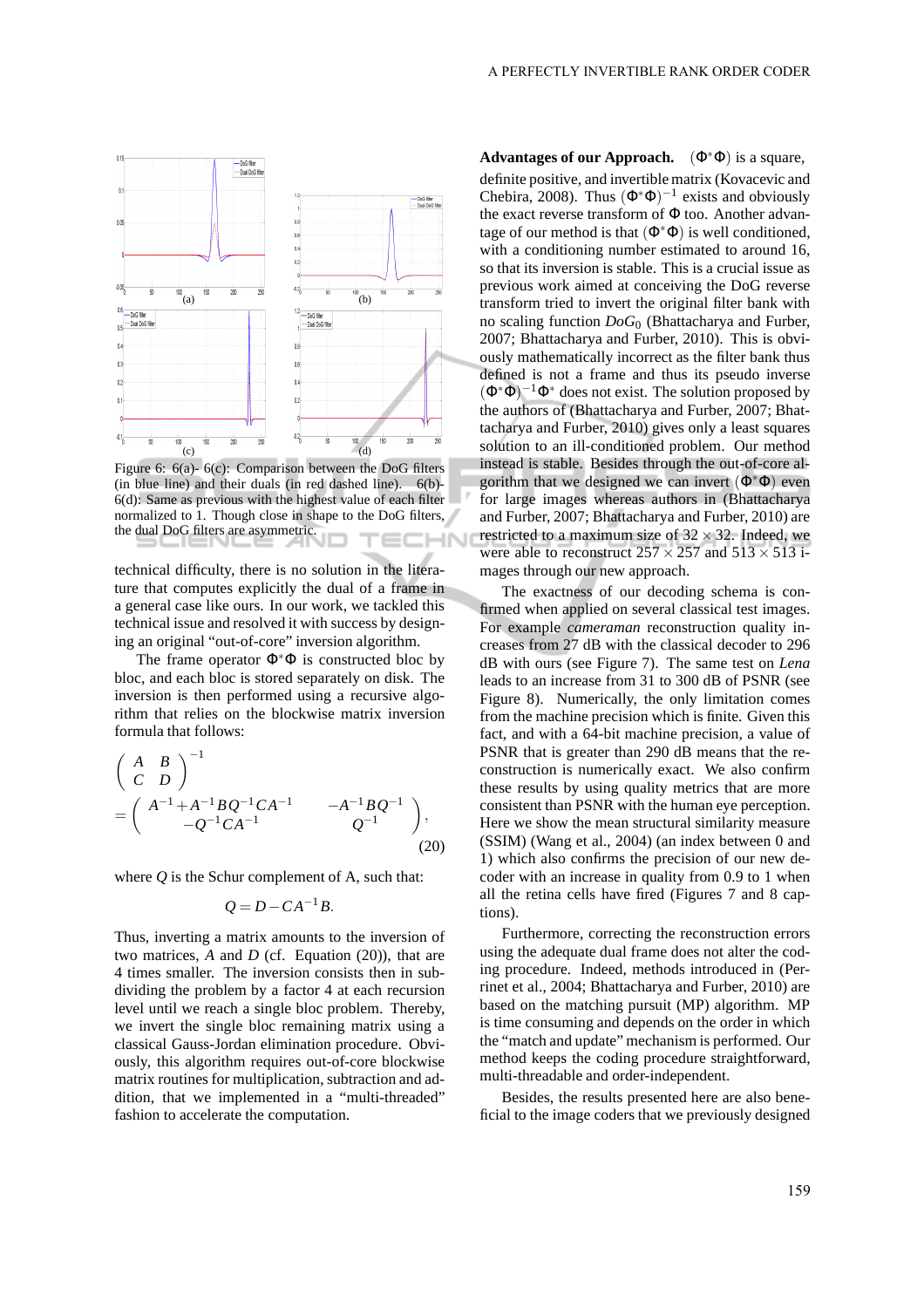

Figure 6:  $6(a)$ -  $6(c)$ : Comparison between the DoG filters (in blue line) and their duals (in red dashed line). 6(b)- 6(d): Same as previous with the highest value of each filter normalized to 1. Though close in shape to the DoG filters, the dual DoG filters are asymmetric.

technical difficulty, there is no solution in the literature that computes explicitly the dual of a frame in a general case like ours. In our work, we tackled this technical issue and resolved it with success by designing an original "out-of-core" inversion algorithm.

The frame operator  $\Phi^*\Phi$  is constructed bloc by bloc, and each bloc is stored separately on disk. The inversion is then performed using a recursive algorithm that relies on the blockwise matrix inversion formula that follows:

$$
\begin{pmatrix}\nA & B \\
C & D\n\end{pmatrix}^{-1} = \begin{pmatrix}\nA^{-1} + A^{-1} B Q^{-1} C A^{-1} & -A^{-1} B Q^{-1} \\
-Q^{-1} C A^{-1} & Q^{-1}\n\end{pmatrix},
$$
\n(20)

where  $O$  is the Schur complement of A, such that:

$$
Q = D - CA^{-1}B.
$$

Thus, inverting a matrix amounts to the inversion of two matrices, *A* and *D* (cf. Equation (20)), that are 4 times smaller. The inversion consists then in subdividing the problem by a factor 4 at each recursion level until we reach a single bloc problem. Thereby, we invert the single bloc remaining matrix using a classical Gauss-Jordan elimination procedure. Obviously, this algorithm requires out-of-core blockwise matrix routines for multiplication, subtraction and addition, that we implemented in a "multi-threaded" fashion to accelerate the computation.

**Advantages of our Approach.** (Φ∗Φ) is a square, definite positive, and invertible matrix (Kovacevic and Chebira, 2008). Thus  $(\Phi^*\Phi)^{-1}$  exists and obviously the exact reverse transform of Φ too. Another advantage of our method is that  $(\Phi^*\Phi)$  is well conditioned, with a conditioning number estimated to around 16, so that its inversion is stable. This is a crucial issue as previous work aimed at conceiving the DoG reverse transform tried to invert the original filter bank with no scaling function *DoG*<sup>0</sup> (Bhattacharya and Furber, 2007; Bhattacharya and Furber, 2010). This is obviously mathematically incorrect as the filter bank thus defined is not a frame and thus its pseudo inverse  $(\Phi^*\Phi)^{-1}\Phi^*$  does not exist. The solution proposed by the authors of (Bhattacharya and Furber, 2007; Bhattacharya and Furber, 2010) gives only a least squares solution to an ill-conditioned problem. Our method instead is stable. Besides through the out-of-core algorithm that we designed we can invert  $(\Phi^*\Phi)$  even for large images whereas authors in (Bhattacharya and Furber, 2007; Bhattacharya and Furber, 2010) are restricted to a maximum size of  $32 \times 32$ . Indeed, we were able to reconstruct  $257 \times 257$  and  $513 \times 513$  images through our new approach.

The exactness of our decoding schema is confirmed when applied on several classical test images. For example *cameraman* reconstruction quality increases from 27 dB with the classical decoder to 296 dB with ours (see Figure 7). The same test on *Lena* leads to an increase from 31 to 300 dB of PSNR (see Figure 8). Numerically, the only limitation comes from the machine precision which is finite. Given this fact, and with a 64-bit machine precision, a value of PSNR that is greater than 290 dB means that the reconstruction is numerically exact. We also confirm these results by using quality metrics that are more consistent than PSNR with the human eye perception. Here we show the mean structural similarity measure (SSIM) (Wang et al., 2004) (an index between 0 and 1) which also confirms the precision of our new decoder with an increase in quality from 0.9 to 1 when all the retina cells have fired (Figures 7 and 8 captions).

Furthermore, correcting the reconstruction errors using the adequate dual frame does not alter the coding procedure. Indeed, methods introduced in (Perrinet et al., 2004; Bhattacharya and Furber, 2010) are based on the matching pursuit (MP) algorithm. MP is time consuming and depends on the order in which the "match and update" mechanism is performed. Our method keeps the coding procedure straightforward, multi-threadable and order-independent.

Besides, the results presented here are also beneficial to the image coders that we previously designed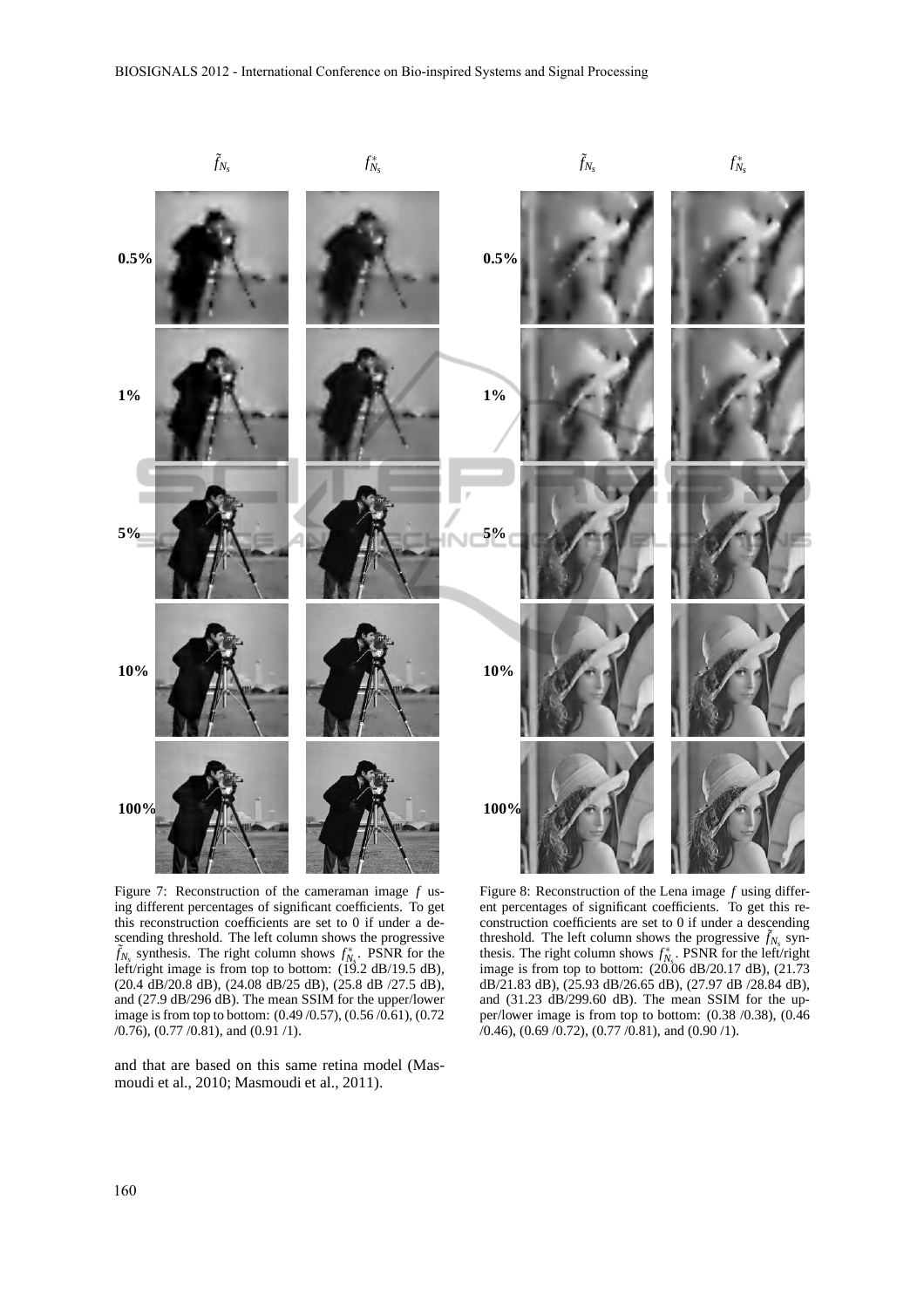

Figure 7: Reconstruction of the cameraman image *f* using different percentages of significant coefficients. To get this reconstruction coefficients are set to 0 if under a descending threshold. The left column shows the progressive  $\tilde{f}_{N_s}$  synthesis. The right column shows  $f_{N_s}^*$ . PSNR for the left/right image is from top to bottom: (19.2 dB/19.5 dB), (20.4 dB/20.8 dB), (24.08 dB/25 dB), (25.8 dB /27.5 dB), and (27.9 dB/296 dB). The mean SSIM for the upper/lower image is from top to bottom: (0.49 /0.57), (0.56 /0.61), (0.72 /0.76), (0.77 /0.81), and (0.91 /1).

Figure 8: Reconstruction of the Lena image *f* using different percentages of significant coefficients. To get this reconstruction coefficients are set to 0 if under a descending threshold. The left column shows the progressive  $\tilde{f}_{N_s}$  synthesis. The right column shows  $f_{N_s}^*$ . PSNR for the left/right image is from top to bottom:  $(20.06 \text{ dB}/20.17 \text{ dB})$ ,  $(21.73 \text{ dB})$ dB/21.83 dB), (25.93 dB/26.65 dB), (27.97 dB /28.84 dB), and (31.23 dB/299.60 dB). The mean SSIM for the upper/lower image is from top to bottom: (0.38 /0.38), (0.46  $(0.46)$ ,  $(0.69 \, \text{/} 0.72)$ ,  $(0.77 \, \text{/} 0.81)$ , and  $(0.90 \, \text{/} 1)$ .

and that are based on this same retina model (Masmoudi et al., 2010; Masmoudi et al., 2011).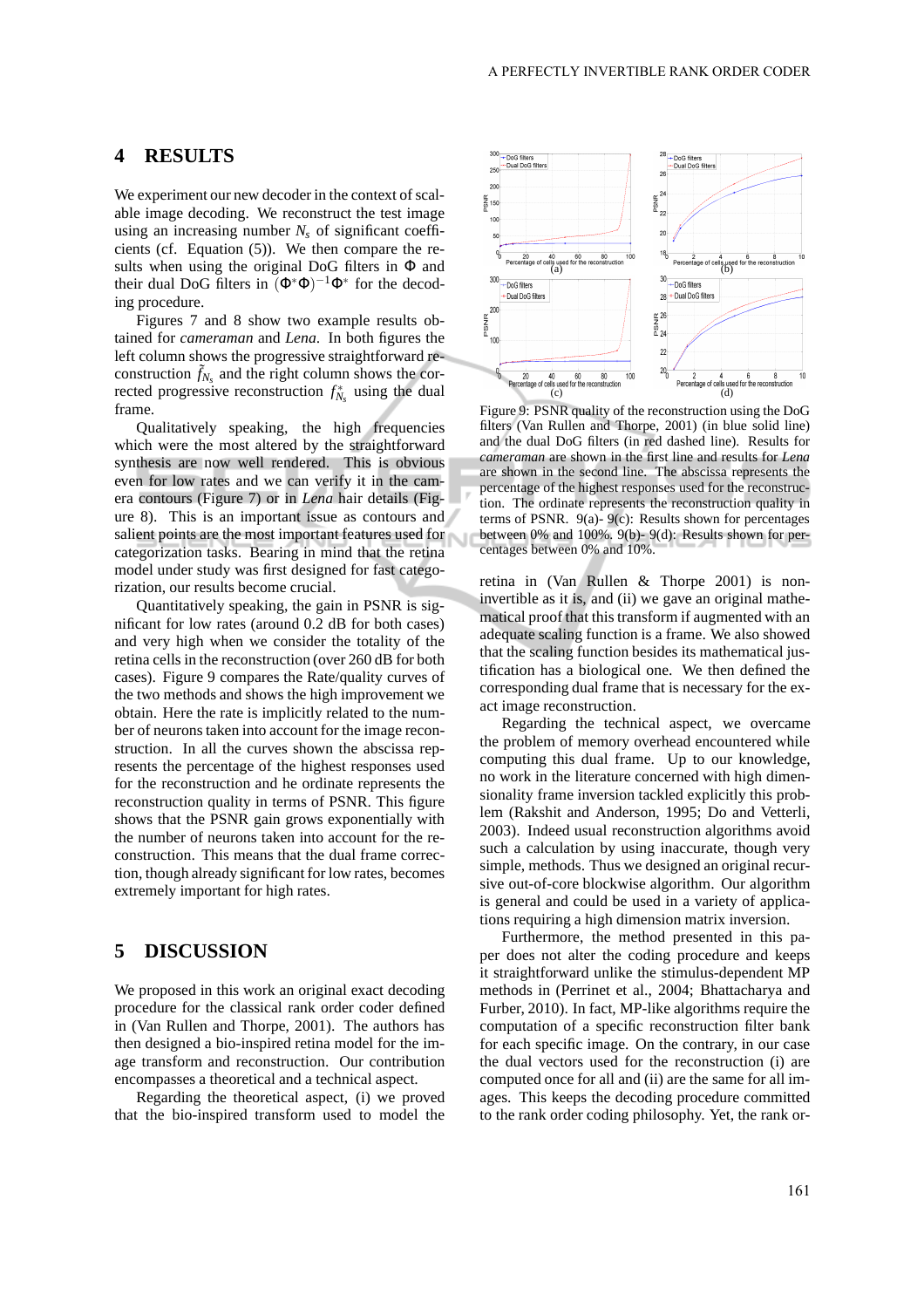### **4 RESULTS**

We experiment our new decoder in the context of scalable image decoding. We reconstruct the test image using an increasing number  $N_s$  of significant coefficients (cf. Equation (5)). We then compare the results when using the original DoG filters in  $\Phi$  and their dual DoG filters in  $(\Phi^*\Phi)^{-1}\Phi^*$  for the decoding procedure.

Figures 7 and 8 show two example results obtained for *cameraman* and *Lena*. In both figures the left column shows the progressive straightforward reconstruction  $\tilde{f}_{N_s}$  and the right column shows the corrected progressive reconstruction  $f_{N_s}^*$  using the dual frame.

Qualitatively speaking, the high frequencies which were the most altered by the straightforward synthesis are now well rendered. This is obvious even for low rates and we can verify it in the camera contours (Figure 7) or in *Lena* hair details (Figure 8). This is an important issue as contours and salient points are the most important features used for categorization tasks. Bearing in mind that the retina model under study was first designed for fast categorization, our results become crucial.

Quantitatively speaking, the gain in PSNR is significant for low rates (around 0.2 dB for both cases) and very high when we consider the totality of the retina cells in the reconstruction (over 260 dB for both cases). Figure 9 compares the Rate/quality curves of the two methods and shows the high improvement we obtain. Here the rate is implicitly related to the number of neurons taken into account for the image reconstruction. In all the curves shown the abscissa represents the percentage of the highest responses used for the reconstruction and he ordinate represents the reconstruction quality in terms of PSNR. This figure shows that the PSNR gain grows exponentially with the number of neurons taken into account for the reconstruction. This means that the dual frame correction, though already significant for low rates, becomes extremely important for high rates.

### **5 DISCUSSION**

We proposed in this work an original exact decoding procedure for the classical rank order coder defined in (Van Rullen and Thorpe, 2001). The authors has then designed a bio-inspired retina model for the image transform and reconstruction. Our contribution encompasses a theoretical and a technical aspect.

Regarding the theoretical aspect, (i) we proved that the bio-inspired transform used to model the



Figure 9: PSNR quality of the reconstruction using the DoG filters (Van Rullen and Thorpe, 2001) (in blue solid line) and the dual DoG filters (in red dashed line). Results for *cameraman* are shown in the first line and results for *Lena* are shown in the second line. The abscissa represents the percentage of the highest responses used for the reconstruction. The ordinate represents the reconstruction quality in terms of PSNR. 9(a)- 9(c): Results shown for percentages between 0% and 100%. 9(b)- 9(d): Results shown for percentages between 0% and 10%.

retina in (Van Rullen & Thorpe 2001) is noninvertible as it is, and (ii) we gave an original mathematical proof that this transform if augmented with an adequate scaling function is a frame. We also showed that the scaling function besides its mathematical justification has a biological one. We then defined the corresponding dual frame that is necessary for the exact image reconstruction.

Regarding the technical aspect, we overcame the problem of memory overhead encountered while computing this dual frame. Up to our knowledge, no work in the literature concerned with high dimensionality frame inversion tackled explicitly this problem (Rakshit and Anderson, 1995; Do and Vetterli, 2003). Indeed usual reconstruction algorithms avoid such a calculation by using inaccurate, though very simple, methods. Thus we designed an original recursive out-of-core blockwise algorithm. Our algorithm is general and could be used in a variety of applications requiring a high dimension matrix inversion.

Furthermore, the method presented in this paper does not alter the coding procedure and keeps it straightforward unlike the stimulus-dependent MP methods in (Perrinet et al., 2004; Bhattacharya and Furber, 2010). In fact, MP-like algorithms require the computation of a specific reconstruction filter bank for each specific image. On the contrary, in our case the dual vectors used for the reconstruction (i) are computed once for all and (ii) are the same for all images. This keeps the decoding procedure committed to the rank order coding philosophy. Yet, the rank or